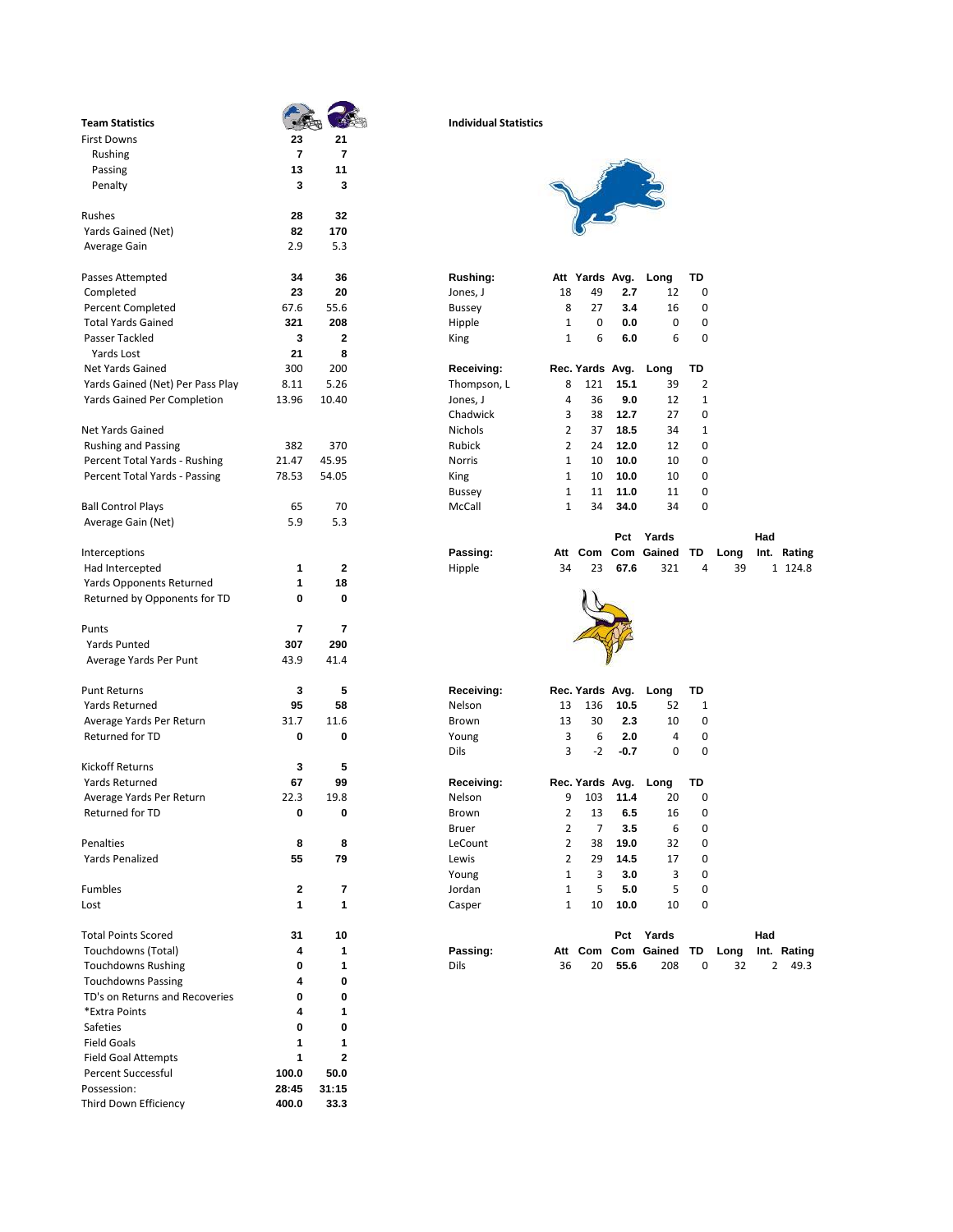| <b>Team Statistics</b>                      |                |              | <b>Individual Statistics</b>                                                  |             |
|---------------------------------------------|----------------|--------------|-------------------------------------------------------------------------------|-------------|
| <b>First Downs</b>                          | 23             | 21           |                                                                               |             |
| Rushing                                     | $\overline{7}$ | 7            |                                                                               |             |
| Passing                                     | 13             | 11           |                                                                               |             |
| Penalty                                     | 3              | 3            |                                                                               |             |
| Rushes                                      | 28             | 32           |                                                                               |             |
| Yards Gained (Net)                          | 82             | 170          |                                                                               |             |
| Average Gain                                | 2.9            | 5.3          |                                                                               |             |
| Passes Attempted                            | 34             | 36           | Rushing:<br>Att Yards Avg.<br>TD<br>Long                                      |             |
| Completed                                   | 23             | 20           | Jones, J<br>18<br>49<br>2.7<br>12<br>0                                        |             |
| <b>Percent Completed</b>                    | 67.6           | 55.6         | 27<br>8<br>3.4<br>16<br><b>Bussey</b><br>0                                    |             |
| <b>Total Yards Gained</b>                   | 321            | 208          | 1<br>0<br>0<br>0<br>Hipple<br>0.0                                             |             |
| Passer Tackled                              | 3              | $\mathbf{2}$ | 1<br>6<br>6<br>0<br>6.0<br>King                                               |             |
| Yards Lost                                  | 21             | 8            |                                                                               |             |
| Net Yards Gained                            | 300            | 200          | Receiving:<br>TD<br>Rec. Yards Avg.<br>Long                                   |             |
| Yards Gained (Net) Per Pass Play            | 8.11           | 5.26         | 8<br>Thompson, L<br>121<br>15.1<br>39<br>2                                    |             |
| <b>Yards Gained Per Completion</b>          | 13.96          | 10.40        | Jones, J<br>36<br>9.0<br>12<br>$\mathbf{1}$<br>4                              |             |
|                                             |                |              | Chadwick<br>3<br>38<br>12.7<br>27<br>0                                        |             |
| <b>Net Yards Gained</b>                     |                |              | $\overline{2}$<br><b>Nichols</b><br>37<br>18.5<br>34<br>1                     |             |
| <b>Rushing and Passing</b>                  | 382            | 370          | <b>Rubick</b><br>2<br>24<br>12.0<br>12<br>0                                   |             |
| Percent Total Yards - Rushing               | 21.47          | 45.95        | 10.0<br>10<br>Norris<br>1<br>10<br>0                                          |             |
| Percent Total Yards - Passing               | 78.53          | 54.05        | 1<br>10.0<br>10<br>0<br>King<br>10                                            |             |
|                                             |                |              | 1<br>11.0<br>0<br>11<br>11<br><b>Bussey</b>                                   |             |
| <b>Ball Control Plays</b>                   | 65             | 70           | 1<br>0<br>McCall<br>34<br>34.0<br>34                                          |             |
| Average Gain (Net)                          | 5.9            | 5.3          | Yards<br>Had<br>Pct                                                           |             |
| Interceptions                               |                |              | Att Com Com Gained<br>Passing:<br>TD<br>Long                                  | Int. Rating |
| Had Intercepted                             | 1              | 2            | 34<br>23<br>67.6<br>321<br>Hipple<br>4<br>39                                  | 1 124.8     |
| <b>Yards Opponents Returned</b>             | 1              | 18           |                                                                               |             |
| Returned by Opponents for TD                | 0              | 0            |                                                                               |             |
| Punts                                       | 7              | 7            |                                                                               |             |
| <b>Yards Punted</b>                         | 307            | 290          |                                                                               |             |
| Average Yards Per Punt                      | 43.9           | 41.4         |                                                                               |             |
| <b>Punt Returns</b>                         | 3              | 5            | TD                                                                            |             |
| Yards Returned                              |                |              | Receiving:<br>Rec. Yards Avg.<br>Long                                         |             |
|                                             | 95             | 58<br>11.6   | Nelson<br>13<br>136<br>10.5<br>52<br>1<br>13<br>30<br>2.3<br>0<br>Brown<br>10 |             |
| Average Yards Per Return<br>Returned for TD | 31.7<br>0      | 0            | 3<br>6<br>2.0<br>4<br>Young<br>0                                              |             |
|                                             |                |              | 3<br>$-2$<br>0<br>0<br>Dils<br>-0.7                                           |             |
| <b>Kickoff Returns</b>                      | 3              | 5            |                                                                               |             |
| Yards Returned                              | 67             | 99           | Receiving:<br>Rec. Yards Avg.<br>TD<br>Long                                   |             |
| Average Yards Per Return                    | 22.3           | 19.8         | Nelson<br>9<br>103<br>11.4<br>20<br>0                                         |             |
| Returned for TD                             | 0              | 0            | 2<br>0<br>Brown<br>13<br>6.5<br>16                                            |             |
|                                             |                |              | Bruer<br>2<br>7<br>3.5<br>6<br>0                                              |             |
| Penalties                                   | 8              | 8            | LeCount<br>2<br>38<br>19.0<br>32<br>0                                         |             |
| <b>Yards Penalized</b>                      | 55             | 79           | $\overline{2}$<br>Lewis<br>29<br>14.5<br>17<br>0                              |             |
|                                             |                |              | Young<br>1<br>3<br>3.0<br>3<br>0                                              |             |
| Fumbles                                     | $\mathbf{2}$   | 7            | 5<br>0<br>Jordan<br>$\mathbf{1}$<br>5<br>5.0                                  |             |
| Lost                                        | 1              | 1            | $\mathbf{1}$<br>Casper<br>10<br>10.0<br>10<br>0                               |             |
| <b>Total Points Scored</b>                  | 31             | 10           | Had<br>Pct Yards                                                              |             |
| Touchdowns (Total)                          | 4              | 1            | Att Com Com Gained TD<br>Passing:<br>Long                                     | Int. Rating |
| <b>Touchdowns Rushing</b>                   | 0              | 1            | 208<br>$\overline{2}$<br>Dils<br>36<br>20<br>55.6<br>0<br>32                  | 49.3        |
| <b>Touchdowns Passing</b>                   | 4              | 0            |                                                                               |             |
| TD's on Returns and Recoveries              | 0              | 0            |                                                                               |             |
| *Extra Points                               | 4              | 1            |                                                                               |             |
| Safeties                                    | 0              | $\mathbf 0$  |                                                                               |             |
| <b>Field Goals</b>                          | 1              | 1            |                                                                               |             |
| <b>Field Goal Attempts</b>                  | 1              | $\mathbf{2}$ |                                                                               |             |
| <b>Percent Successful</b>                   | 100.0          | 50.0         |                                                                               |             |
| Possession:                                 | 28:45          | 31:15        |                                                                               |             |
| Third Down Efficiency                       | 400.0          | 33.3         |                                                                               |             |

## **Team Statistics Individual Statistics**



|    |              |     | Att Yards Avg. Long TD |   |
|----|--------------|-----|------------------------|---|
| 18 | 49           | 2.7 | 12                     | O |
| 8  | 27           | 3.4 | 16                     | 0 |
| 1  | <sup>0</sup> | 0.0 | O                      | O |
| 1  | 6            | 6.0 | 6                      | U |
|    |              |     |                        |   |

| $\overline{\phantom{a}}$ |                | Rec. Yards Avg. Long |      |    | TD           |
|--------------------------|----------------|----------------------|------|----|--------------|
| , L                      | 8              | 121                  | 15.1 | 39 | 2            |
|                          | 4              | 36                   | 9.0  | 12 | 1            |
|                          | 3              | 38                   | 12.7 | 27 | 0            |
|                          | $\overline{2}$ | 37                   | 18.5 | 34 | $\mathbf{1}$ |
|                          | $\overline{2}$ | 24                   | 12.0 | 12 | 0            |
|                          | $\mathbf{1}$   | 10                   | 10.0 | 10 | 0            |
|                          | $\mathbf{1}$   | 10                   | 10.0 | 10 | 0            |
|                          | 1              | 11                   | 11.0 | 11 | 0            |
|                          | $\mathbf{1}$   | 34                   | 34.0 | 34 | 0            |
|                          |                |                      |      |    |              |

|                 |  |          |  | Pct | Yards                                  |  | Had |  |
|-----------------|--|----------|--|-----|----------------------------------------|--|-----|--|
| Interceptions   |  | Passing: |  |     | Att Com Com Gained TD Long Int. Rating |  |     |  |
| Had Intercepted |  | Hipple   |  |     | 34 23 67.6 321 4 39 1 124.8            |  |     |  |



| Receiving: |    | Rec. Yards Avg. Long |        |    | TD           |
|------------|----|----------------------|--------|----|--------------|
| Nelson     | 13 | 136                  | 10.5   | 52 | 1            |
| Brown      | 13 | 30                   | 2.3    | 10 | <sup>0</sup> |
| Young      | 3  | 6                    | 2.0    | Δ  | n            |
| Dils       | ર  | $-2$                 | $-0.7$ | o  | O            |
|            |    |                      |        |    |              |

|                |     | Rec. Yards Avg. Long |    | TD |  |
|----------------|-----|----------------------|----|----|--|
| 9              | 103 | 11.4                 | 20 | 0  |  |
| 2              | 13  | 6.5                  | 16 | 0  |  |
| $\overline{2}$ | 7   | 3.5                  | 6  | 0  |  |
| 2              | 38  | 19.0                 | 32 | 0  |  |
| $\overline{2}$ | 29  | 14.5                 | 17 | 0  |  |
| 1              | 3   | 3.0                  | 3  | 0  |  |
| 1              | 5   | 5.0                  | 5  | 0  |  |
| $\mathbf{1}$   | 10  | 10.0                 | 10 | 0  |  |
|                |     |                      |    |    |  |

| Total Points Scored       |  |          |  |         | Pct Yards                              |                 | Had |  |
|---------------------------|--|----------|--|---------|----------------------------------------|-----------------|-----|--|
| Touchdowns (Total)        |  | Passing: |  |         | Att Com Com Gained TD Long Int. Rating |                 |     |  |
| <b>Touchdowns Rushing</b> |  | Dils     |  | 20 55.6 |                                        | 208 0 32 2 49.3 |     |  |